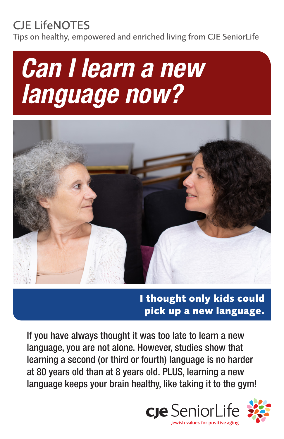# CJE LifeNOTES

Tips on healthy, empowered and enriched living from CJE SeniorLife





**I thought only kids could pick up a new language.**

If you have always thought it was too late to learn a new language, you are not alone. However, studies show that learning a second (or third or fourth) language is no harder at 80 years old than at 8 years old. PLUS, learning a new language keeps your brain healthy, like taking it to the gym!

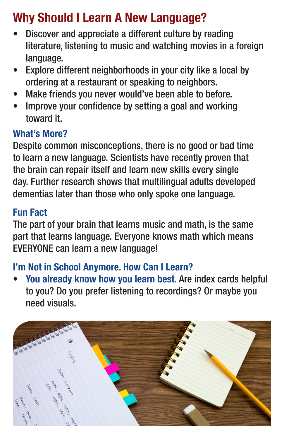# Why Should I Learn A New Language?

- Discover and appreciate a different culture by reading literature, listening to music and watching movies in a foreign language.
- Explore different neighborhoods in your city like a local by ordering at a restaurant or speaking to neighbors.
- Make friends you never would've been able to before.
- Improve your confidence by setting a goal and working toward it.

#### What's More?

Despite common misconceptions, there is no good or bad time to learn a new language. Scientists have recently proven that the brain can repair itself and learn new skills every single day. Further research shows that multilingual adults developed dementias later than those who only spoke one language.

#### Fun Fact

The part of your brain that learns music and math, is the same part that learns language. Everyone knows math which means EVERYONE can learn a new language!

#### I'm Not in School Anymore. How Can I Learn?

You already know how you learn best. Are index cards helpful to you? Do you prefer listening to recordings? Or maybe you need visuals.

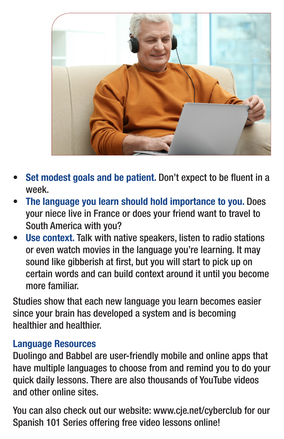

- Set modest goals and be patient. Don't expect to be fluent in a week.
- The language you learn should hold importance to you. Does your niece live in France or does your friend want to travel to South America with you?
- Use context. Talk with native speakers, listen to radio stations or even watch movies in the language you're learning. It may sound like gibberish at first, but you will start to pick up on certain words and can build context around it until you become more familiar.

Studies show that each new language you learn becomes easier since your brain has developed a system and is becoming healthier and healthier.

#### Language Resources

Duolingo and Babbel are user-friendly mobile and online apps that have multiple languages to choose from and remind you to do your quick daily lessons. There are also thousands of YouTube videos and other online sites.

You can also check out our website: www.cje.net/cyberclub for our Spanish 101 Series offering free video lessons online!